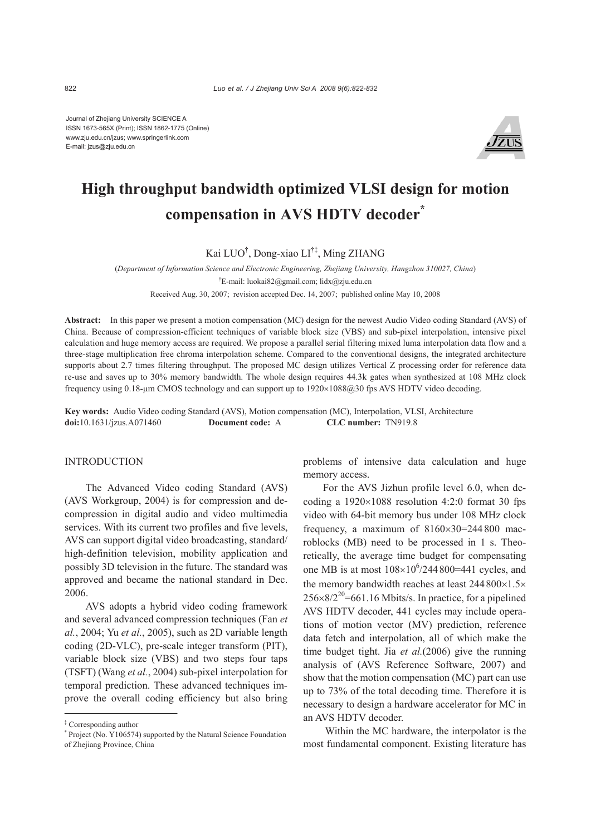Journal of Zhejiang University SCIENCE A ISSN 1673-565X (Print); ISSN 1862-1775 (Online) www.zju.edu.cn/jzus; www.springerlink.com E-mail: jzus@zju.edu.cn



# **High throughput bandwidth optimized VLSI design for motion compensation in AVS HDTV decoder\***

Kai LUO† , Dong-xiao LI†‡, Ming ZHANG

(*Department of Information Science and Electronic Engineering, Zhejiang University, Hangzhou 310027, China*) † E-mail: luokai82@gmail.com; lidx@zju.edu.cn

Received Aug. 30, 2007; revision accepted Dec. 14, 2007; published online May 10, 2008

**Abstract:** In this paper we present a motion compensation (MC) design for the newest Audio Video coding Standard (AVS) of China. Because of compression-efficient techniques of variable block size (VBS) and sub-pixel interpolation, intensive pixel calculation and huge memory access are required. We propose a parallel serial filtering mixed luma interpolation data flow and a three-stage multiplication free chroma interpolation scheme. Compared to the conventional designs, the integrated architecture supports about 2.7 times filtering throughput. The proposed MC design utilizes Vertical Z processing order for reference data re-use and saves up to 30% memory bandwidth. The whole design requires 44.3k gates when synthesized at 108 MHz clock frequency using 0.18-μm CMOS technology and can support up to 1920×1088@30 fps AVS HDTV video decoding.

**Key words:** Audio Video coding Standard (AVS), Motion compensation (MC), Interpolation, VLSI, Architecture **doi:**10.1631/jzus.A071460 **Document code:** A **CLC number:** TN919.8

## **INTRODUCTION**

The Advanced Video coding Standard (AVS) (AVS Workgroup, 2004) is for compression and decompression in digital audio and video multimedia services. With its current two profiles and five levels, AVS can support digital video broadcasting, standard/ high-definition television, mobility application and possibly 3D television in the future. The standard was approved and became the national standard in Dec. 2006.

AVS adopts a hybrid video coding framework and several advanced compression techniques (Fan *et al.*, 2004; Yu *et al.*, 2005), such as 2D variable length coding (2D-VLC), pre-scale integer transform (PIT), variable block size (VBS) and two steps four taps (TSFT) (Wang *et al.*, 2004) sub-pixel interpolation for temporal prediction. These advanced techniques improve the overall coding efficiency but also bring

problems of intensive data calculation and huge memory access.

For the AVS Jizhun profile level 6.0, when decoding a  $1920\times1088$  resolution 4:2:0 format 30 fps video with 64-bit memory bus under 108 MHz clock frequency, a maximum of  $8160\times30=244800$  macroblocks (MB) need to be processed in 1 s. Theoretically, the average time budget for compensating one MB is at most  $108\times10^6/244800=441$  cycles, and the memory bandwidth reaches at least  $244800\times1.5\times$  $256\times8/2^{20}$ =661.16 Mbits/s. In practice, for a pipelined AVS HDTV decoder, 441 cycles may include operations of motion vector (MV) prediction, reference data fetch and interpolation, all of which make the time budget tight. Jia *et al.*(2006) give the running analysis of (AVS Reference Software, 2007) and show that the motion compensation (MC) part can use up to 73% of the total decoding time. Therefore it is necessary to design a hardware accelerator for MC in an AVS HDTV decoder.

Within the MC hardware, the interpolator is the most fundamental component. Existing literature has

<sup>‡</sup> Corresponding author

<sup>\*</sup> Project (No. Y106574) supported by the Natural Science Foundation of Zhejiang Province, China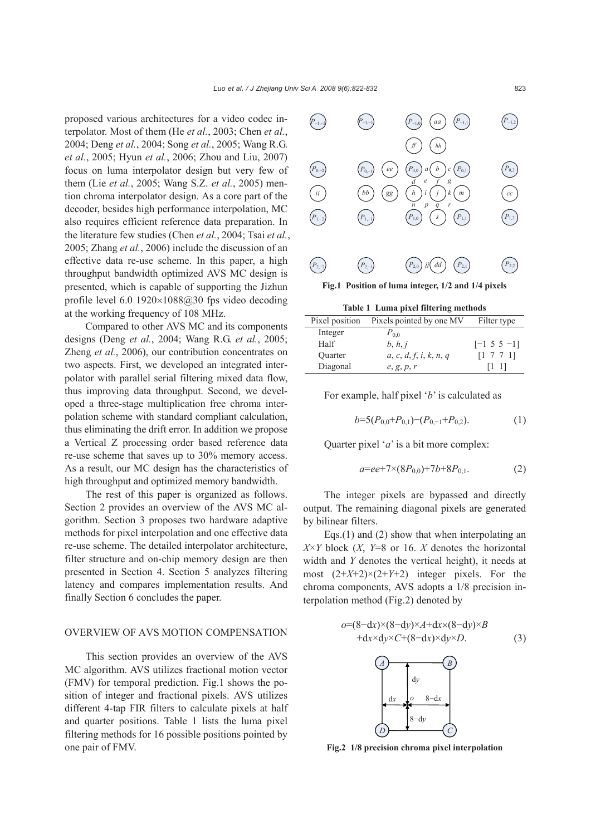proposed various architectures for a video codec interpolator. Most of them (He *et al.*, 2003; Chen *et al.*, 2004; Deng *et al.*, 2004; Song *et al.*, 2005; Wang R.G. *et al.*, 2005; Hyun *et al.*, 2006; Zhou and Liu, 2007) focus on luma interpolator design but very few of them (Lie *et al.*, 2005; Wang S.Z. *et al.*, 2005) mention chroma interpolator design. As a core part of the decoder, besides high performance interpolation, MC also requires efficient reference data preparation. In the literature few studies (Chen *et al.*, 2004; Tsai *et al.*, 2005; Zhang *et al.*, 2006) include the discussion of an effective data re-use scheme. In this paper, a high throughput bandwidth optimized AVS MC design is presented, which is capable of supporting the Jizhun profile level 6.0  $1920\times1088@30$  fps video decoding at the working frequency of 108 MHz.

Compared to other AVS MC and its components designs (Deng *et al.*, 2004; Wang R.G. *et al.*, 2005; Zheng *et al.*, 2006), our contribution concentrates on two aspects. First, we developed an integrated interpolator with parallel serial filtering mixed data flow, thus improving data throughput. Second, we developed a three-stage multiplication free chroma interpolation scheme with standard compliant calculation, thus eliminating the drift error. In addition we propose a Vertical Z processing order based reference data re-use scheme that saves up to 30% memory access. As a result, our MC design has the characteristics of high throughput and optimized memory bandwidth.

The rest of this paper is organized as follows. Section 2 provides an overview of the AVS MC algorithm. Section 3 proposes two hardware adaptive methods for pixel interpolation and one effective data re-use scheme. The detailed interpolator architecture, filter structure and on-chip memory design are then presented in Section 4. Section 5 analyzes filtering latency and compares implementation results. And finally Section 6 concludes the paper.

# OVERVIEW OF AVS MOTION COMPENSATION

This section provides an overview of the AVS MC algorithm. AVS utilizes fractional motion vector (FMV) for temporal prediction. Fig.1 shows the position of integer and fractional pixels. AVS utilizes different 4-tap FIR filters to calculate pixels at half and quarter positions. Table 1 lists the luma pixel filtering methods for 16 possible positions pointed by one pair of FMV.



**Table 1 Luma pixel filtering methods**

| Pixel position | Pixels pointed by one MV | Filter type       |  |  |
|----------------|--------------------------|-------------------|--|--|
| Integer        | $P_{0,0}$                |                   |  |  |
| Half           | b, h, j                  | $[-1 \t5 \t5 -1]$ |  |  |
| <b>Ouarter</b> | a, c, d, f, i, k, n, q   | [1 7 7 1]         |  |  |
| Diagonal       | e, g, p, r               | H 11              |  |  |

For example, half pixel '*b*' is calculated as

$$
b=5(P_{0,0}+P_{0,1})-(P_{0,-1}+P_{0,2}).
$$
\n(1)

Quarter pixel '*a*' is a bit more complex:

$$
a=ee+7\times(8P_{0,0})+7b+8P_{0,1}.\tag{2}
$$

The integer pixels are bypassed and directly output. The remaining diagonal pixels are generated by bilinear filters.

Eqs.(1) and (2) show that when interpolating an  $X \times Y$  block  $(X, Y=8)$  or 16. *X* denotes the horizontal width and *Y* denotes the vertical height), it needs at most  $(2+X+2)\times(2+Y+2)$  integer pixels. For the chroma components, AVS adopts a 1/8 precision interpolation method (Fig.2) denoted by

$$
o=(8-dx)\times (8-dy)\times A+dx\times (8-dy)\times B+dx\times dy\times C+(8-dx)\times dy\times D.
$$
 (3)



**Fig.2 1/8 precision chroma pixel interpolation**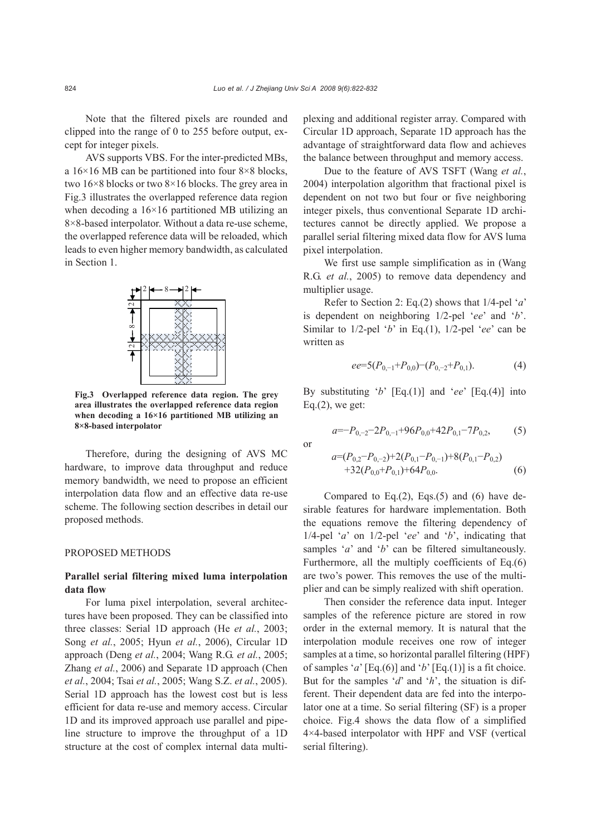Note that the filtered pixels are rounded and clipped into the range of 0 to 255 before output, except for integer pixels.

AVS supports VBS. For the inter-predicted MBs, a  $16\times16$  MB can be partitioned into four 8 $\times8$  blocks, two 16×8 blocks or two 8×16 blocks. The grey area in Fig.3 illustrates the overlapped reference data region when decoding a  $16\times16$  partitioned MB utilizing an 8×8-based interpolator. Without a data re-use scheme, the overlapped reference data will be reloaded, which leads to even higher memory bandwidth, as calculated in Section 1.



**Fig.3 Overlapped reference data region. The grey area illustrates the overlapped reference data region when decoding a 16×16 partitioned MB utilizing an 8×8-based interpolator** 

Therefore, during the designing of AVS MC hardware, to improve data throughput and reduce memory bandwidth, we need to propose an efficient interpolation data flow and an effective data re-use scheme. The following section describes in detail our proposed methods.

## PROPOSED METHODS

# **Parallel serial filtering mixed luma interpolation data flow**

For luma pixel interpolation, several architectures have been proposed. They can be classified into three classes: Serial 1D approach (He *et al.*, 2003; Song *et al.*, 2005; Hyun *et al.*, 2006), Circular 1D approach (Deng *et al.*, 2004; Wang R.G. *et al.*, 2005; Zhang *et al.*, 2006) and Separate 1D approach (Chen *et al.*, 2004; Tsai *et al.*, 2005; Wang S.Z. *et al.*, 2005). Serial 1D approach has the lowest cost but is less efficient for data re-use and memory access. Circular 1D and its improved approach use parallel and pipeline structure to improve the throughput of a 1D structure at the cost of complex internal data multiplexing and additional register array. Compared with Circular 1D approach, Separate 1D approach has the advantage of straightforward data flow and achieves the balance between throughput and memory access.

Due to the feature of AVS TSFT (Wang *et al.*, 2004) interpolation algorithm that fractional pixel is dependent on not two but four or five neighboring integer pixels, thus conventional Separate 1D architectures cannot be directly applied. We propose a parallel serial filtering mixed data flow for AVS luma pixel interpolation.

We first use sample simplification as in (Wang R.G. *et al.*, 2005) to remove data dependency and multiplier usage.

Refer to Section 2: Eq.(2) shows that 1/4-pel '*a*' is dependent on neighboring 1/2-pel '*ee*' and '*b*'. Similar to 1/2-pel '*b*' in Eq.(1), 1/2-pel '*ee*' can be written as

$$
ee=5(P_{0,-1}+P_{0,0})-(P_{0,-2}+P_{0,1}).
$$
\n(4)

By substituting '*b*' [Eq.(1)] and '*ee*' [Eq.(4)] into Eq. $(2)$ , we get:

$$
a=-P_{0,-2}-2P_{0,-1}+96P_{0,0}+42P_{0,1}-7P_{0,2},\tag{5}
$$

or

$$
a=(P_{0,2}-P_{0,-2})+2(P_{0,1}-P_{0,-1})+8(P_{0,1}-P_{0,2})
$$
  
+32(P<sub>0,0</sub>+P<sub>0,1</sub>)+64P<sub>0,0</sub>. (6)

Compared to Eq. $(2)$ , Eqs. $(5)$  and  $(6)$  have desirable features for hardware implementation. Both the equations remove the filtering dependency of 1/4-pel '*a*' on 1/2-pel '*ee*' and '*b*', indicating that samples '*a*' and '*b*' can be filtered simultaneously. Furthermore, all the multiply coefficients of Eq.(6) are two's power. This removes the use of the multiplier and can be simply realized with shift operation.

Then consider the reference data input. Integer samples of the reference picture are stored in row order in the external memory. It is natural that the interpolation module receives one row of integer samples at a time, so horizontal parallel filtering (HPF) of samples '*a*' [Eq.(6)] and '*b*' [Eq.(1)] is a fit choice. But for the samples '*d*' and '*h*', the situation is different. Their dependent data are fed into the interpolator one at a time. So serial filtering (SF) is a proper choice. Fig.4 shows the data flow of a simplified 4×4-based interpolator with HPF and VSF (vertical serial filtering).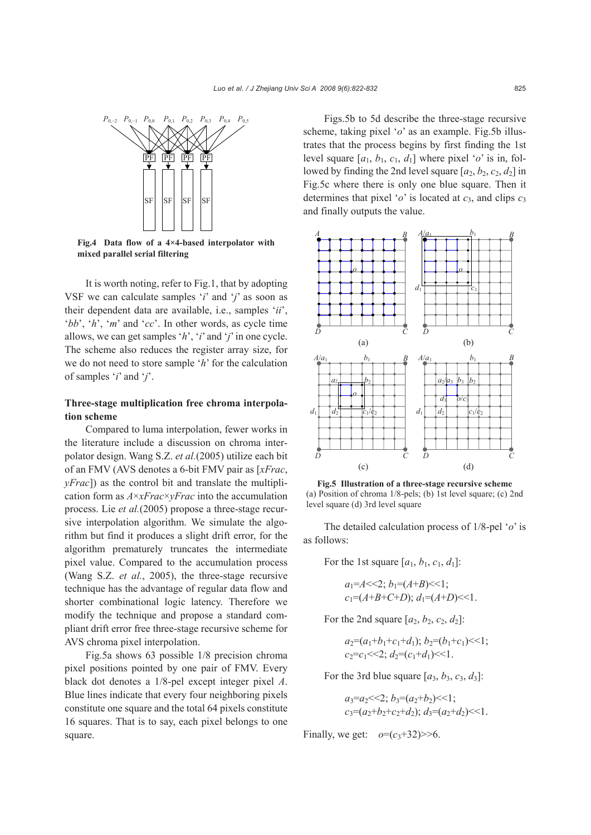

**Fig.4 Data flow of a 4×4-based interpolator with mixed parallel serial filtering**

It is worth noting, refer to Fig.1, that by adopting VSF we can calculate samples '*i*' and '*j*' as soon as their dependent data are available, i.e., samples '*ii*', '*bb*', '*h*', '*m*' and '*cc*'. In other words, as cycle time allows, we can get samples '*h*', '*i*' and '*j*' in one cycle. The scheme also reduces the register array size, for we do not need to store sample '*h*' for the calculation of samples '*i*' and '*j*'.

# **Three-stage multiplication free chroma interpolation scheme**

Compared to luma interpolation, fewer works in the literature include a discussion on chroma interpolator design. Wang S.Z. *et al.*(2005) utilize each bit of an FMV (AVS denotes a 6-bit FMV pair as [*xFrac*, *yFrac*]) as the control bit and translate the multiplication form as *A*×*xFrac*×*yFrac* into the accumulation process. Lie *et al.*(2005) propose a three-stage recursive interpolation algorithm. We simulate the algorithm but find it produces a slight drift error, for the algorithm prematurely truncates the intermediate pixel value. Compared to the accumulation process (Wang S.Z. *et al.*, 2005), the three-stage recursive technique has the advantage of regular data flow and shorter combinational logic latency. Therefore we modify the technique and propose a standard compliant drift error free three-stage recursive scheme for AVS chroma pixel interpolation.

Fig.5a shows 63 possible 1/8 precision chroma pixel positions pointed by one pair of FMV. Every black dot denotes a 1/8-pel except integer pixel *A*. Blue lines indicate that every four neighboring pixels constitute one square and the total 64 pixels constitute 16 squares. That is to say, each pixel belongs to one square.

Figs.5b to 5d describe the three-stage recursive scheme, taking pixel '*o*' as an example. Fig.5b illustrates that the process begins by first finding the 1st level square  $[a_1, b_1, c_1, d_1]$  where pixel '*o*' is in, followed by finding the 2nd level square  $[a_2, b_2, c_2, d_2]$  in Fig.5c where there is only one blue square. Then it determines that pixel '*o*' is located at  $c_3$ , and clips  $c_3$ and finally outputs the value.



**Fig.5 Illustration of a three-stage recursive scheme**  (a) Position of chroma  $1/8$ -pels; (b) 1st level square; (c) 2nd level square (d) 3rd level square

The detailed calculation process of 1/8-pel '*o*' is as follows:

For the 1st square  $[a_1, b_1, c_1, d_1]$ :

$$
a_1 = A \ll 2
$$
;  $b_1 = (A+B) \ll 1$ ;  
\n $c_1 = (A+B+C+D)$ ;  $d_1 = (A+D) \ll 1$ .

For the 2nd square  $[a_2, b_2, c_2, d_2]$ :

 $a_2 = (a_1 + b_1 + c_1 + d_1); b_2 = (b_1 + c_1) \leq 1;$  $c_2 = c_1 \ll 2$ ;  $d_2 = (c_1 + d_1) \ll 1$ .

For the 3rd blue square  $[a_3, b_3, c_3, d_3]$ :

 $a_3 = a_2 \leq 2$ ;  $b_3 = (a_2 + b_2) \leq 1$ ;  $c_3 = (a_2 + b_2 + c_2 + d_2); d_3 = (a_2 + d_2) \leq 1.$ 

Finally, we get:  $o=(c_3+32) \geq 6$ .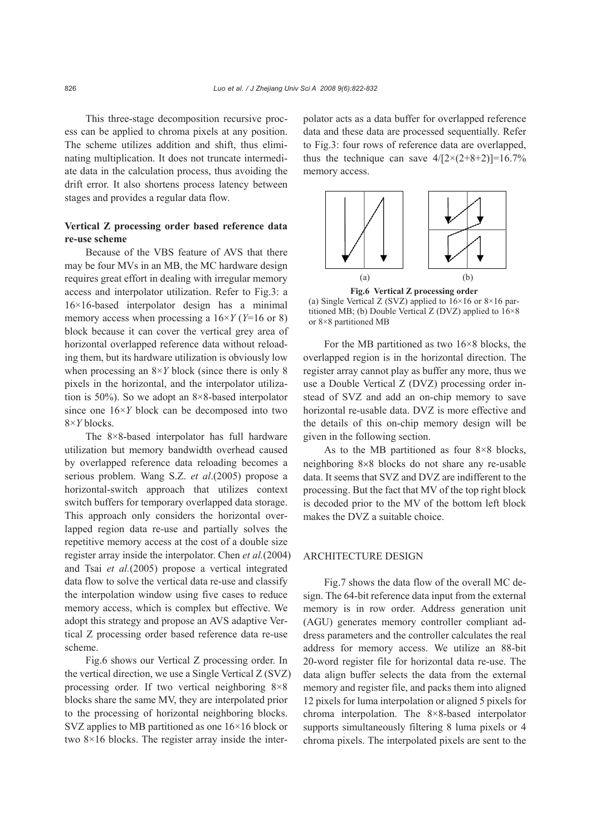This three-stage decomposition recursive process can be applied to chroma pixels at any position. The scheme utilizes addition and shift, thus eliminating multiplication. It does not truncate intermediate data in the calculation process, thus avoiding the drift error. It also shortens process latency between stages and provides a regular data flow.

# **Vertical Z processing order based reference data re-use scheme**

Because of the VBS feature of AVS that there may be four MVs in an MB, the MC hardware design requires great effort in dealing with irregular memory access and interpolator utilization. Refer to Fig.3: a 16×16-based interpolator design has a minimal memory access when processing a 16×*Y* (*Y*=16 or 8) block because it can cover the vertical grey area of horizontal overlapped reference data without reloading them, but its hardware utilization is obviously low when processing an 8×*Y* block (since there is only 8 pixels in the horizontal, and the interpolator utilization is 50%). So we adopt an 8×8-based interpolator since one 16×*Y* block can be decomposed into two 8×*Y* blocks.

The 8×8-based interpolator has full hardware utilization but memory bandwidth overhead caused by overlapped reference data reloading becomes a serious problem. Wang S.Z. *et al*.(2005) propose a horizontal-switch approach that utilizes context switch buffers for temporary overlapped data storage. This approach only considers the horizontal overlapped region data re-use and partially solves the repetitive memory access at the cost of a double size register array inside the interpolator. Chen *et al.*(2004) and Tsai *et al.*(2005) propose a vertical integrated data flow to solve the vertical data re-use and classify the interpolation window using five cases to reduce memory access, which is complex but effective. We adopt this strategy and propose an AVS adaptive Vertical Z processing order based reference data re-use scheme.

Fig.6 shows our Vertical Z processing order. In the vertical direction, we use a Single Vertical Z (SVZ) processing order. If two vertical neighboring 8×8 blocks share the same MV, they are interpolated prior to the processing of horizontal neighboring blocks. SVZ applies to MB partitioned as one 16×16 block or two 8×16 blocks. The register array inside the interpolator acts as a data buffer for overlapped reference data and these data are processed sequentially. Refer to Fig.3: four rows of reference data are overlapped, thus the technique can save  $4/[2 \times (2+8+2)]=16.7\%$ memory access.



**Fig.6 Vertical Z processing order**  (a) Single Vertical Z (SVZ) applied to  $16\times16$  or  $8\times16$  par-

titioned MB; (b) Double Vertical Z (DVZ) applied to 16×8 or 8×8 partitioned MB

For the MB partitioned as two 16×8 blocks, the overlapped region is in the horizontal direction. The register array cannot play as buffer any more, thus we use a Double Vertical Z (DVZ) processing order instead of SVZ and add an on-chip memory to save horizontal re-usable data. DVZ is more effective and the details of this on-chip memory design will be given in the following section.

As to the MB partitioned as four 8×8 blocks, neighboring 8×8 blocks do not share any re-usable data. It seems that SVZ and DVZ are indifferent to the processing. But the fact that MV of the top right block is decoded prior to the MV of the bottom left block makes the DVZ a suitable choice.

### ARCHITECTURE DESIGN

Fig.7 shows the data flow of the overall MC design. The 64-bit reference data input from the external memory is in row order. Address generation unit (AGU) generates memory controller compliant address parameters and the controller calculates the real address for memory access. We utilize an 88-bit 20-word register file for horizontal data re-use. The data align buffer selects the data from the external memory and register file, and packs them into aligned 12 pixels for luma interpolation or aligned 5 pixels for chroma interpolation. The 8×8-based interpolator supports simultaneously filtering 8 luma pixels or 4 chroma pixels. The interpolated pixels are sent to the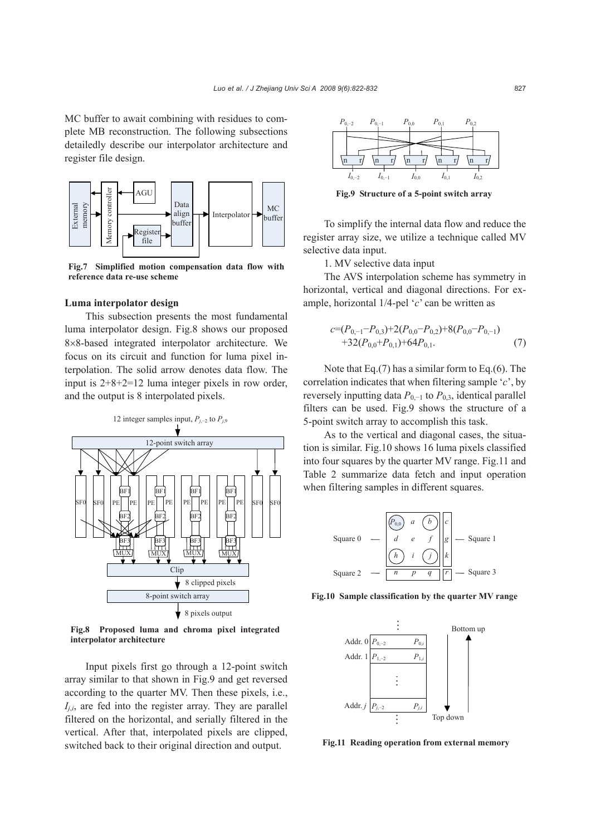MC buffer to await combining with residues to complete MB reconstruction. The following subsections detailedly describe our interpolator architecture and register file design.



**Fig.7 Simplified motion compensation data flow with reference data re-use scheme**

#### **Luma interpolator design**

This subsection presents the most fundamental luma interpolator design. Fig.8 shows our proposed 8×8-based integrated interpolator architecture. We focus on its circuit and function for luma pixel interpolation. The solid arrow denotes data flow. The input is 2+8+2=12 luma integer pixels in row order, and the output is 8 interpolated pixels.



**Fig.8 Proposed luma and chroma pixel integrated interpolator architecture** 

Input pixels first go through a 12-point switch array similar to that shown in Fig.9 and get reversed according to the quarter MV. Then these pixels, i.e.,  $I_{ij}$ , are fed into the register array. They are parallel filtered on the horizontal, and serially filtered in the vertical. After that, interpolated pixels are clipped, switched back to their original direction and output.



**Fig.9 Structure of a 5-point switch array**

To simplify the internal data flow and reduce the register array size, we utilize a technique called MV selective data input.

1. MV selective data input

The AVS interpolation scheme has symmetry in horizontal, vertical and diagonal directions. For example, horizontal 1/4-pel '*c*' can be written as

$$
c=(P_{0,-1}-P_{0,3})+2(P_{0,0}-P_{0,2})+8(P_{0,0}-P_{0,-1})
$$
  
+32(P<sub>0,0</sub>+P<sub>0,1</sub>)+64P<sub>0,1</sub>. (7)

Note that Eq.(7) has a similar form to Eq.(6). The correlation indicates that when filtering sample '*c*', by reversely inputting data  $P_{0,-1}$  to  $P_{0,3}$ , identical parallel filters can be used. Fig.9 shows the structure of a 5-point switch array to accomplish this task.

As to the vertical and diagonal cases, the situation is similar. Fig.10 shows 16 luma pixels classified into four squares by the quarter MV range. Fig.11 and Table 2 summarize data fetch and input operation when filtering samples in different squares.



**Fig.10 Sample classification by the quarter MV range**



**Fig.11 Reading operation from external memory**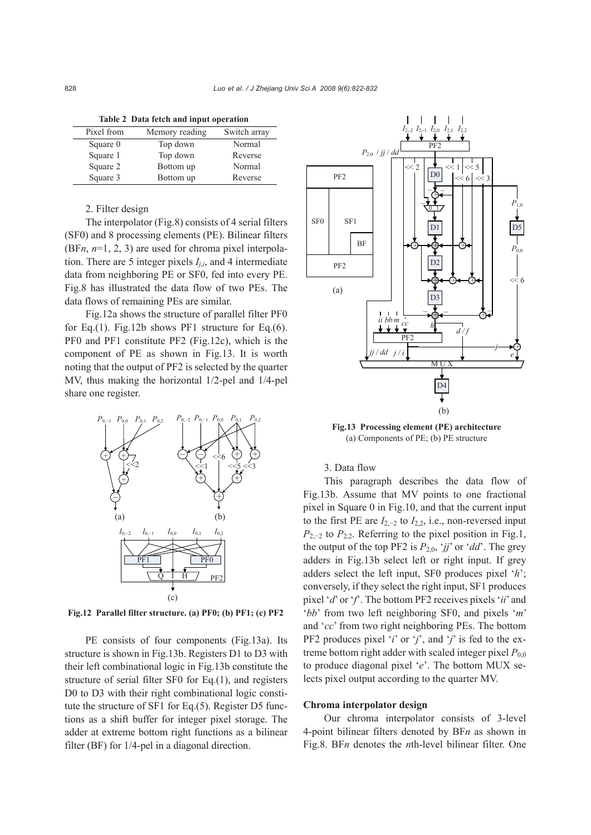**Table 2 Data fetch and input operation**

| Pixel from | Memory reading | Switch array |
|------------|----------------|--------------|
| Square 0   | Top down       | Normal       |
| Square 1   | Top down       | Reverse      |
| Square 2   | Bottom up      | Normal       |
| Square 3   | Bottom up      | Reverse      |

# 2. Filter design

The interpolator (Fig.8) consists of 4 serial filters (SF0) and 8 processing elements (PE). Bilinear filters (BF*n*, *n*=1, 2, 3) are used for chroma pixel interpolation. There are 5 integer pixels  $I_{i,i}$ , and 4 intermediate data from neighboring PE or SF0, fed into every PE. Fig.8 has illustrated the data flow of two PEs. The data flows of remaining PEs are similar.

Fig.12a shows the structure of parallel filter PF0 for Eq.(1). Fig.12b shows PF1 structure for Eq.(6). PF0 and PF1 constitute PF2 (Fig.12c), which is the component of PE as shown in Fig.13. It is worth noting that the output of PF2 is selected by the quarter MV, thus making the horizontal 1/2-pel and 1/4-pel share one register.



**Fig.12 Parallel filter structure. (a) PF0; (b) PF1; (c) PF2**

PE consists of four components (Fig.13a). Its structure is shown in Fig.13b. Registers D1 to D3 with their left combinational logic in Fig.13b constitute the structure of serial filter SF0 for Eq.(1), and registers D0 to D3 with their right combinational logic constitute the structure of SF1 for Eq.(5). Register D5 functions as a shift buffer for integer pixel storage. The adder at extreme bottom right functions as a bilinear filter (BF) for 1/4-pel in a diagonal direction.



**Fig.13 Processing element (PE) architecture**  (a) Components of PE; (b) PE structure

3. Data flow

This paragraph describes the data flow of Fig.13b. Assume that MV points to one fractional pixel in Square 0 in Fig.10, and that the current input to the first PE are  $I_{2,-2}$  to  $I_{2,2}$ , i.e., non-reversed input *P*<sub>2,−2</sub> to *P*<sub>2,2</sub>. Referring to the pixel position in Fig.1, the output of the top PF2 is  $P_{2,0}$ , '*jj*' or '*dd*'. The grey adders in Fig.13b select left or right input. If grey adders select the left input, SF0 produces pixel '*h*'; conversely, if they select the right input, SF1 produces pixel '*d*' or '*f*'. The bottom PF2 receives pixels '*ii*' and '*bb*' from two left neighboring SF0, and pixels '*m*' and '*cc*' from two right neighboring PEs. The bottom PF2 produces pixel '*i*' or '*j*', and '*j*' is fed to the extreme bottom right adder with scaled integer pixel  $P_{0,0}$ to produce diagonal pixel '*e*'. The bottom MUX selects pixel output according to the quarter MV.

#### **Chroma interpolator design**

Our chroma interpolator consists of 3-level 4-point bilinear filters denoted by BF*n* as shown in Fig.8. BF*n* denotes the *n*th-level bilinear filter. One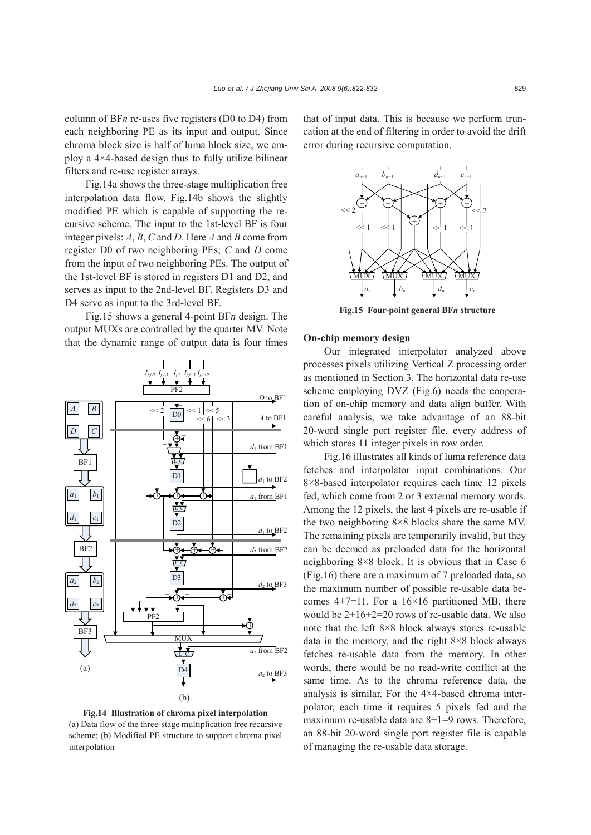column of BF*n* re-uses five registers (D0 to D4) from each neighboring PE as its input and output. Since chroma block size is half of luma block size, we employ a 4×4-based design thus to fully utilize bilinear filters and re-use register arrays.

Fig.14a shows the three-stage multiplication free interpolation data flow. Fig.14b shows the slightly modified PE which is capable of supporting the recursive scheme. The input to the 1st-level BF is four integer pixels: *A*, *B*, *C* and *D*. Here *A* and *B* come from register D0 of two neighboring PEs; *C* and *D* come from the input of two neighboring PEs. The output of the 1st-level BF is stored in registers D1 and D2, and serves as input to the 2nd-level BF. Registers D3 and D4 serve as input to the 3rd-level BF.

Fig.15 shows a general 4-point BF*n* design. The output MUXs are controlled by the quarter MV. Note that the dynamic range of output data is four times



**Fig.14 Illustration of chroma pixel interpolation**  (a) Data flow of the three-stage multiplication free recursive scheme; (b) Modified PE structure to support chroma pixel interpolation

that of input data. This is because we perform truncation at the end of filtering in order to avoid the drift error during recursive computation.



**Fig.15 Four-point general BF***n* **structure**

#### **On-chip memory design**

Our integrated interpolator analyzed above processes pixels utilizing Vertical Z processing order as mentioned in Section 3. The horizontal data re-use scheme employing DVZ (Fig.6) needs the cooperation of on-chip memory and data align buffer. With careful analysis, we take advantage of an 88-bit 20-word single port register file, every address of which stores 11 integer pixels in row order.

Fig.16 illustrates all kinds of luma reference data fetches and interpolator input combinations. Our 8×8-based interpolator requires each time 12 pixels fed, which come from 2 or 3 external memory words. Among the 12 pixels, the last 4 pixels are re-usable if the two neighboring 8×8 blocks share the same MV. The remaining pixels are temporarily invalid, but they can be deemed as preloaded data for the horizontal neighboring 8×8 block. It is obvious that in Case 6 (Fig.16) there are a maximum of 7 preloaded data, so the maximum number of possible re-usable data becomes  $4+7=11$ . For a  $16\times16$  partitioned MB, there would be 2+16+2=20 rows of re-usable data. We also note that the left 8×8 block always stores re-usable data in the memory, and the right 8×8 block always fetches re-usable data from the memory. In other words, there would be no read-write conflict at the same time. As to the chroma reference data, the analysis is similar. For the 4×4-based chroma interpolator, each time it requires 5 pixels fed and the maximum re-usable data are 8+1=9 rows. Therefore, an 88-bit 20-word single port register file is capable of managing the re-usable data storage.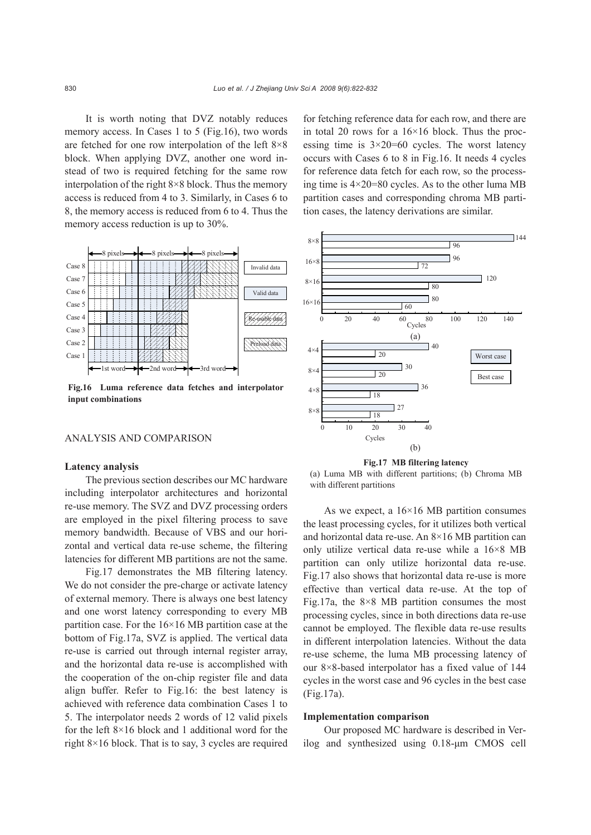It is worth noting that DVZ notably reduces memory access. In Cases 1 to 5 (Fig.16), two words are fetched for one row interpolation of the left 8×8 block. When applying DVZ, another one word instead of two is required fetching for the same row interpolation of the right 8×8 block. Thus the memory access is reduced from 4 to 3. Similarly, in Cases 6 to 8, the memory access is reduced from 6 to 4. Thus the memory access reduction is up to 30%.



**Fig.16 Luma reference data fetches and interpolator input combinations**

# ANALYSIS AND COMPARISON

#### **Latency analysis**

The previous section describes our MC hardware including interpolator architectures and horizontal re-use memory. The SVZ and DVZ processing orders are employed in the pixel filtering process to save memory bandwidth. Because of VBS and our horizontal and vertical data re-use scheme, the filtering latencies for different MB partitions are not the same.

Fig.17 demonstrates the MB filtering latency. We do not consider the pre-charge or activate latency of external memory. There is always one best latency and one worst latency corresponding to every MB partition case. For the  $16\times16$  MB partition case at the bottom of Fig.17a, SVZ is applied. The vertical data re-use is carried out through internal register array, and the horizontal data re-use is accomplished with the cooperation of the on-chip register file and data align buffer. Refer to Fig.16: the best latency is achieved with reference data combination Cases 1 to 5. The interpolator needs 2 words of 12 valid pixels for the left 8×16 block and 1 additional word for the right 8×16 block. That is to say, 3 cycles are required for fetching reference data for each row, and there are in total 20 rows for a  $16\times16$  block. Thus the processing time is  $3\times20=60$  cycles. The worst latency occurs with Cases 6 to 8 in Fig.16. It needs 4 cycles for reference data fetch for each row, so the processing time is  $4 \times 20 = 80$  cycles. As to the other luma MB partition cases and corresponding chroma MB partition cases, the latency derivations are similar.



**Fig.17 MB filtering latency** 



As we expect, a  $16\times16$  MB partition consumes the least processing cycles, for it utilizes both vertical and horizontal data re-use. An 8×16 MB partition can only utilize vertical data re-use while a 16×8 MB partition can only utilize horizontal data re-use. Fig.17 also shows that horizontal data re-use is more effective than vertical data re-use. At the top of Fig.17a, the  $8\times8$  MB partition consumes the most processing cycles, since in both directions data re-use cannot be employed. The flexible data re-use results in different interpolation latencies. Without the data re-use scheme, the luma MB processing latency of our 8×8-based interpolator has a fixed value of 144 cycles in the worst case and 96 cycles in the best case (Fig.17a).

#### **Implementation comparison**

Our proposed MC hardware is described in Verilog and synthesized using 0.18-μm CMOS cell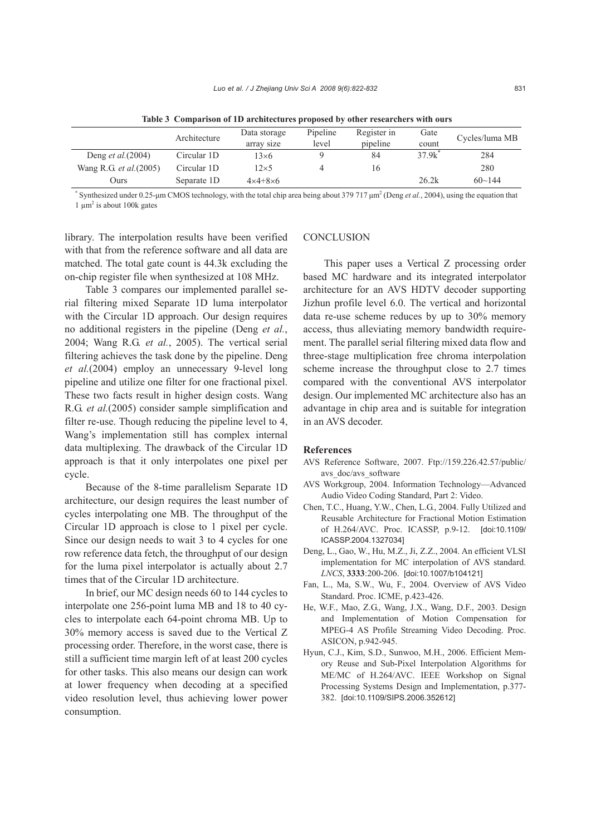|                                | Architecture | Data storage<br>array size | Pipeline<br>level | Register in<br>pipeline | Gate<br>count | Cycles/luma MB |
|--------------------------------|--------------|----------------------------|-------------------|-------------------------|---------------|----------------|
| Deng <i>et al.</i> (2004)      | Circular 1D  | $13\times 6$               |                   | 84                      | 37.9k         | 284            |
| Wang R.G. <i>et al.</i> (2005) | Circular 1D  | $12\times 5$               |                   | 16                      |               | 280            |
| Ours                           | Separate 1D  | $4 \times 4 + 8 \times 6$  |                   |                         | 26.2k         | $60 \sim 144$  |

**Table 3 Comparison of 1D architectures proposed by other researchers with ours**

\* Synthesized under 0.25-µm CMOS technology, with the total chip area being about 379 717  $\mu$ m<sup>2</sup> (Deng *et al.*, 2004), using the equation that  $1 \mu m^2$  is about 100k gates

library. The interpolation results have been verified with that from the reference software and all data are matched. The total gate count is 44.3k excluding the on-chip register file when synthesized at 108 MHz.

Table 3 compares our implemented parallel serial filtering mixed Separate 1D luma interpolator with the Circular 1D approach. Our design requires no additional registers in the pipeline (Deng *et al.*, 2004; Wang R.G. *et al.*, 2005). The vertical serial filtering achieves the task done by the pipeline. Deng *et al.*(2004) employ an unnecessary 9-level long pipeline and utilize one filter for one fractional pixel. These two facts result in higher design costs. Wang R.G. *et al.*(2005) consider sample simplification and filter re-use. Though reducing the pipeline level to 4, Wang's implementation still has complex internal data multiplexing. The drawback of the Circular 1D approach is that it only interpolates one pixel per cycle.

Because of the 8-time parallelism Separate 1D architecture, our design requires the least number of cycles interpolating one MB. The throughput of the Circular 1D approach is close to 1 pixel per cycle. Since our design needs to wait 3 to 4 cycles for one row reference data fetch, the throughput of our design for the luma pixel interpolator is actually about 2.7 times that of the Circular 1D architecture.

In brief, our MC design needs 60 to 144 cycles to interpolate one 256-point luma MB and 18 to 40 cycles to interpolate each 64-point chroma MB. Up to 30% memory access is saved due to the Vertical Z processing order. Therefore, in the worst case, there is still a sufficient time margin left of at least 200 cycles for other tasks. This also means our design can work at lower frequency when decoding at a specified video resolution level, thus achieving lower power consumption.

#### **CONCLUSION**

This paper uses a Vertical Z processing order based MC hardware and its integrated interpolator architecture for an AVS HDTV decoder supporting Jizhun profile level 6.0. The vertical and horizontal data re-use scheme reduces by up to 30% memory access, thus alleviating memory bandwidth requirement. The parallel serial filtering mixed data flow and three-stage multiplication free chroma interpolation scheme increase the throughput close to 2.7 times compared with the conventional AVS interpolator design. Our implemented MC architecture also has an advantage in chip area and is suitable for integration in an AVS decoder.

#### **References**

- AVS Reference Software, 2007. Ftp://159.226.42.57/public/ avs\_doc/avs\_software
- AVS Workgroup, 2004. Information Technology—Advanced Audio Video Coding Standard, Part 2: Video.
- Chen, T.C., Huang, Y.W., Chen, L.G., 2004. Fully Utilized and Reusable Architecture for Fractional Motion Estimation of H.264/AVC. Proc. ICASSP, p.9-12. [doi:10.1109/ ICASSP.2004.1327034]
- Deng, L., Gao, W., Hu, M.Z., Ji, Z.Z., 2004. An efficient VLSI implementation for MC interpolation of AVS standard. *LNCS*, **3333**:200-206. [doi:10.1007/b104121]
- Fan, L., Ma, S.W., Wu, F., 2004. Overview of AVS Video Standard. Proc. ICME, p.423-426.
- He, W.F., Mao, Z.G., Wang, J.X., Wang, D.F., 2003. Design and Implementation of Motion Compensation for MPEG-4 AS Profile Streaming Video Decoding. Proc. ASICON, p.942-945.
- Hyun, C.J., Kim, S.D., Sunwoo, M.H., 2006. Efficient Memory Reuse and Sub-Pixel Interpolation Algorithms for ME/MC of H.264/AVC. IEEE Workshop on Signal Processing Systems Design and Implementation, p.377- 382. [doi:10.1109/SIPS.2006.352612]